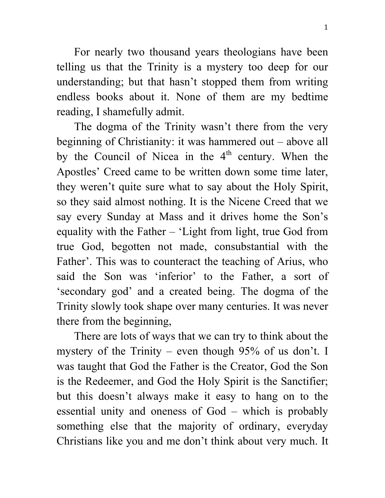For nearly two thousand years theologians have been telling us that the Trinity is a mystery too deep for our understanding; but that hasn't stopped them from writing endless books about it. None of them are my bedtime reading, I shamefully admit.

The dogma of the Trinity wasn't there from the very beginning of Christianity: it was hammered out – above all by the Council of Nicea in the  $4<sup>th</sup>$  century. When the Apostles' Creed came to be written down some time later, they weren't quite sure what to say about the Holy Spirit, so they said almost nothing. It is the Nicene Creed that we say every Sunday at Mass and it drives home the Son's equality with the Father – 'Light from light, true God from true God, begotten not made, consubstantial with the Father'. This was to counteract the teaching of Arius, who said the Son was 'inferior' to the Father, a sort of 'secondary god' and a created being. The dogma of the Trinity slowly took shape over many centuries. It was never there from the beginning,

There are lots of ways that we can try to think about the mystery of the Trinity – even though 95% of us don't. I was taught that God the Father is the Creator, God the Son is the Redeemer, and God the Holy Spirit is the Sanctifier; but this doesn't always make it easy to hang on to the essential unity and oneness of God – which is probably something else that the majority of ordinary, everyday Christians like you and me don't think about very much. It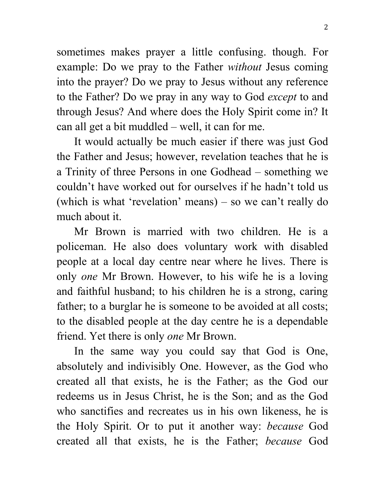sometimes makes prayer a little confusing. though. For example: Do we pray to the Father *without* Jesus coming into the prayer? Do we pray to Jesus without any reference to the Father? Do we pray in any way to God *except* to and through Jesus? And where does the Holy Spirit come in? It can all get a bit muddled – well, it can for me.

It would actually be much easier if there was just God the Father and Jesus; however, revelation teaches that he is a Trinity of three Persons in one Godhead – something we couldn't have worked out for ourselves if he hadn't told us (which is what 'revelation' means) – so we can't really do much about it.

Mr Brown is married with two children. He is a policeman. He also does voluntary work with disabled people at a local day centre near where he lives. There is only *one* Mr Brown. However, to his wife he is a loving and faithful husband; to his children he is a strong, caring father; to a burglar he is someone to be avoided at all costs; to the disabled people at the day centre he is a dependable friend. Yet there is only *one* Mr Brown.

In the same way you could say that God is One, absolutely and indivisibly One. However, as the God who created all that exists, he is the Father; as the God our redeems us in Jesus Christ, he is the Son; and as the God who sanctifies and recreates us in his own likeness, he is the Holy Spirit. Or to put it another way: *because* God created all that exists, he is the Father; *because* God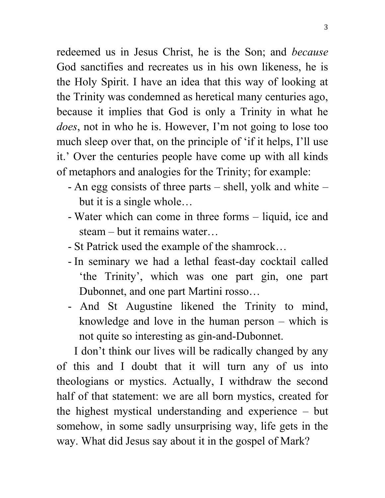redeemed us in Jesus Christ, he is the Son; and *because*  God sanctifies and recreates us in his own likeness, he is the Holy Spirit. I have an idea that this way of looking at the Trinity was condemned as heretical many centuries ago, because it implies that God is only a Trinity in what he *does*, not in who he is. However, I'm not going to lose too much sleep over that, on the principle of 'if it helps, I'll use it.' Over the centuries people have come up with all kinds of metaphors and analogies for the Trinity; for example:

- An egg consists of three parts shell, yolk and white but it is a single whole…
- Water which can come in three forms liquid, ice and steam – but it remains water…
- St Patrick used the example of the shamrock…
- In seminary we had a lethal feast-day cocktail called 'the Trinity', which was one part gin, one part Dubonnet, and one part Martini rosso…
- And St Augustine likened the Trinity to mind, knowledge and love in the human person – which is not quite so interesting as gin-and-Dubonnet.

I don't think our lives will be radically changed by any of this and I doubt that it will turn any of us into theologians or mystics. Actually, I withdraw the second half of that statement: we are all born mystics, created for the highest mystical understanding and experience – but somehow, in some sadly unsurprising way, life gets in the way. What did Jesus say about it in the gospel of Mark?